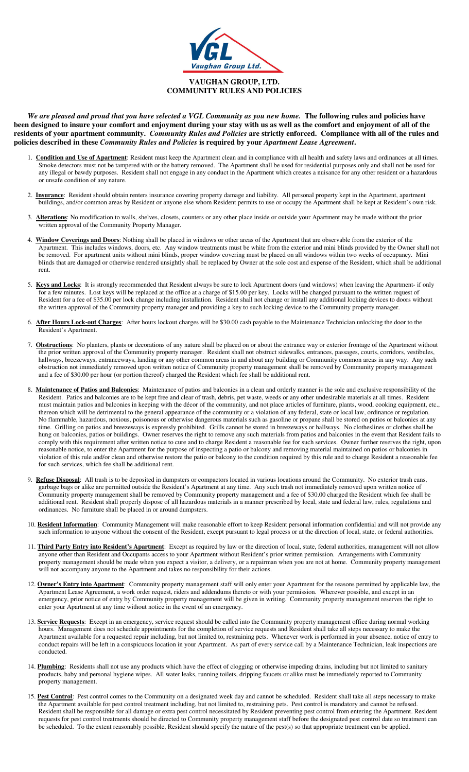

## **VAUGHAN GROUP, LTD. COMMUNITY RULES AND POLICIES**

*We are pleased and proud that you have selected a VGL Community as you new home.* **The following rules and policies have been designed to insure your comfort and enjoyment during your stay with us as well as the comfort and enjoyment of all of the residents of your apartment community.** *Community Rules and Policies* **are strictly enforced. Compliance with all of the rules and policies described in these** *Community Rules and Policies* **is required by your** *Apartment Lease Agreement***.** 

- 1. **Condition and Use of Apartment**: Resident must keep the Apartment clean and in compliance with all health and safety laws and ordinances at all times. Smoke detectors must not be tampered with or the battery removed. The Apartment shall be used for residential purposes only and shall not be used for any illegal or bawdy purposes. Resident shall not engage in any conduct in the Apartment which creates a nuisance for any other resident or a hazardous or unsafe condition of any nature.
- 2. **Insurance**: Resident should obtain renters insurance covering property damage and liability. All personal property kept in the Apartment, apartment buildings, and/or common areas by Resident or anyone else whom Resident permits to use or occupy the Apartment shall be kept at Resident's own risk.
- 3. **Alterations**: No modification to walls, shelves, closets, counters or any other place inside or outside your Apartment may be made without the prior written approval of the Community Property Manager.
- 4. **Window Coverings and Doors**: Nothing shall be placed in windows or other areas of the Apartment that are observable from the exterior of the Apartment. This includes windows, doors, etc. Any window treatments must be white from the exterior and mini blinds provided by the Owner shall not be removed. For apartment units without mini blinds, proper window covering must be placed on all windows within two weeks of occupancy. Mini blinds that are damaged or otherwise rendered unsightly shall be replaced by Owner at the sole cost and expense of the Resident, which shall be additional rent.
- 5. **Keys and Locks**: It is strongly recommended that Resident always be sure to lock Apartment doors (and windows) when leaving the Apartment- if only for a few minutes. Lost keys will be replaced at the office at a charge of \$15.00 per key. Locks will be changed pursuant to the written request of Resident for a fee of \$35.00 per lock change including installation. Resident shall not change or install any additional locking devices to doors without the written approval of the Community property manager and providing a key to such locking device to the Community property manager.
- 6. **After Hours Lock-out Charges**: After hours lockout charges will be \$30.00 cash payable to the Maintenance Technician unlocking the door to the Resident's Apartment.
- 7. **Obstructions**: No planters, plants or decorations of any nature shall be placed on or about the entrance way or exterior frontage of the Apartment without the prior written approval of the Community property manager. Resident shall not obstruct sidewalks, entrances, passages, courts, corridors, vestibules, hallways, breezeways, entranceways, landing or any other common areas in and about any building or Community common areas in any way. Any such obstruction not immediately removed upon written notice of Community property management shall be removed by Community property management and a fee of \$30.00 per hour (or portion thereof) charged the Resident which fee shall be additional rent.
- 8. **Maintenance of Patios and Balconies**: Maintenance of patios and balconies in a clean and orderly manner is the sole and exclusive responsibility of the Resident. Patios and balconies are to be kept free and clear of trash, debris, pet waste, weeds or any other undesirable materials at all times. Resident must maintain patios and balconies in keeping with the décor of the community, and not place articles of furniture, plants, wood, cooking equipment, etc., thereon which will be detrimental to the general appearance of the community or a violation of any federal, state or local law, ordinance or regulation. No flammable, hazardous, noxious, poisonous or otherwise dangerous materials such as gasoline or propane shall be stored on patios or balconies at any time. Grilling on patios and breezeways is expressly prohibited. Grills cannot be stored in breezeways or hallways. No clotheslines or clothes shall be hung on balconies, patios or buildings. Owner reserves the right to remove any such materials from patios and balconies in the event that Resident fails to comply with this requirement after written notice to cure and to charge Resident a reasonable fee for such services. Owner further reserves the right, upon reasonable notice, to enter the Apartment for the purpose of inspecting a patio or balcony and removing material maintained on patios or balconies in violation of this rule and/or clean and otherwise restore the patio or balcony to the condition required by this rule and to charge Resident a reasonable fee for such services, which fee shall be additional rent.
- 9. **Refuse Disposal**: All trash is to be deposited in dumpsters or compactors located in various locations around the Community. No exterior trash cans, garbage bags or alike are permitted outside the Resident's Apartment at any time. Any such trash not immediately removed upon written notice of Community property management shall be removed by Community property management and a fee of \$30.00 charged the Resident which fee shall be additional rent. Resident shall properly dispose of all hazardous materials in a manner prescribed by local, state and federal law, rules, regulations and ordinances. No furniture shall be placed in or around dumpsters.
- 10. **Resident Information**:Community Management will make reasonable effort to keep Resident personal information confidential and will not provide any such information to anyone without the consent of the Resident, except pursuant to legal process or at the direction of local, state, or federal authorities.
- 11. **Third Party Entry into Resident's Apartment**: Except as required by law or the direction of local, state, federal authorities, management will not allow anyone other than Resident and Occupants access to your Apartment without Resident's prior written permission. Arrangements with Community property management should be made when you expect a visitor, a delivery, or a repairman when you are not at home. Community property management will not accompany anyone to the Apartment and takes no responsibility for their actions.
- 12. **Owner's Entry into Apartment**: Community property management staff will only enter your Apartment for the reasons permitted by applicable law, the Apartment Lease Agreement, a work order request, riders and addendums thereto or with your permission. Wherever possible, and except in an emergency, prior notice of entry by Community property management will be given in writing. Community property management reserves the right to enter your Apartment at any time without notice in the event of an emergency.
- 13. **Service Requests**: Except in an emergency, service request should be called into the Community property management office during normal working hours. Management does not schedule appointments for the completion of service requests and Resident shall take all steps necessary to make the Apartment available for a requested repair including, but not limited to, restraining pets. Whenever work is performed in your absence, notice of entry to conduct repairs will be left in a conspicuous location in your Apartment. As part of every service call by a Maintenance Technician, leak inspections are conducted.
- 14. **Plumbing**: Residents shall not use any products which have the effect of clogging or otherwise impeding drains, including but not limited to sanitary products, baby and personal hygiene wipes. All water leaks, running toilets, dripping faucets or alike must be immediately reported to Community property management.
- 15. Pest Control: Pest control comes to the Community on a designated week day and cannot be scheduled. Resident shall take all steps necessary to make the Apartment available for pest control treatment including, but not limited to, restraining pets. Pest control is mandatory and cannot be refused. Resident shall be responsible for all damage or extra pest control necessitated by Resident preventing pest control from entering the Apartment. Resident requests for pest control treatments should be directed to Community property management staff before the designated pest control date so treatment can be scheduled. To the extent reasonably possible, Resident should specify the nature of the pest(s) so that appropriate treatment can be applied.